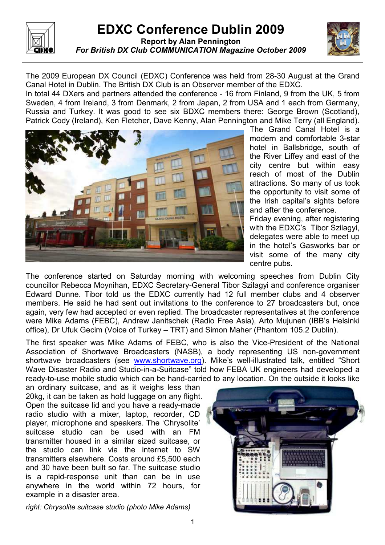

## EDXC Conference Dublin 2009





The 2009 European DX Council (EDXC) Conference was held from 28-30 August at the Grand Canal Hotel in Dublin. The British DX Club is an Observer member of the EDXC.

In total 44 DXers and partners attended the conference - 16 from Finland, 9 from the UK, 5 from Sweden, 4 from Ireland, 3 from Denmark, 2 from Japan, 2 from USA and 1 each from Germany, Russia and Turkey. It was good to see six BDXC members there: George Brown (Scotland), Patrick Cody (Ireland), Ken Fletcher, Dave Kenny, Alan Pennington and Mike Terry (all England).



The Grand Canal Hotel is a modern and comfortable 3-star hotel in Ballsbridge, south of the River Liffey and east of the city centre but within easy reach of most of the Dublin attractions. So many of us took the opportunity to visit some of the Irish capital's sights before and after the conference.

Friday evening, after registering with the EDXC's Tibor Szilagyi, delegates were able to meet up in the hotel's Gasworks bar or visit some of the many city centre pubs.

The conference started on Saturday morning with welcoming speeches from Dublin City councillor Rebecca Moynihan, EDXC Secretary-General Tibor Szilagyi and conference organiser Edward Dunne. Tibor told us the EDXC currently had 12 full member clubs and 4 observer members. He said he had sent out invitations to the conference to 27 broadcasters but, once again, very few had accepted or even replied. The broadcaster representatives at the conference were Mike Adams (FEBC), Andrew Janitschek (Radio Free Asia), Arto Mujunen (IBB's Helsinki office), Dr Ufuk Gecim (Voice of Turkey – TRT) and Simon Maher (Phantom 105.2 Dublin).

The first speaker was Mike Adams of FEBC, who is also the Vice-President of the National Association of Shortwave Broadcasters (NASB), a body representing US non-government shortwave broadcasters (see www.shortwave.org). Mike's well-illustrated talk, entitled "Short Wave Disaster Radio and Studio-in-a-Suitcase" told how FEBA UK engineers had developed a ready-to-use mobile studio which can be hand-carried to any location. On the outside it looks like

an ordinary suitcase, and as it weighs less than 20kg, it can be taken as hold luggage on any flight. Open the suitcase lid and you have a ready-made radio studio with a mixer, laptop, recorder, CD player, microphone and speakers. The 'Chrysolite' suitcase studio can be used with an FM transmitter housed in a similar sized suitcase, or the studio can link via the internet to SW transmitters elsewhere. Costs around £5,500 each and 30 have been built so far. The suitcase studio is a rapid-response unit than can be in use anywhere in the world within 72 hours, for example in a disaster area.

right: Chrysolite suitcase studio (photo Mike Adams)

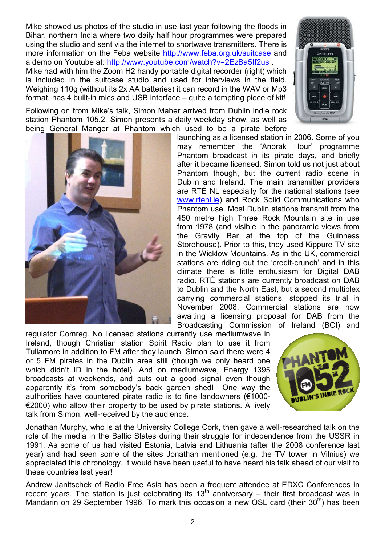Mike showed us photos of the studio in use last year following the floods in Bihar, northern India where two daily half hour programmes were prepared using the studio and sent via the internet to shortwave transmitters. There is more information on the Feba website http://www.feba.org.uk/suitcase and a demo on Youtube at: http://www.youtube.com/watch?v=2EzBa5If2us . Mike had with him the Zoom H2 handy portable digital recorder (right) which is included in the suitcase studio and used for interviews in the field. Weighing 110g (without its 2x AA batteries) it can record in the WAV or Mp3 format, has 4 built-in mics and USB interface – quite a tempting piece of kit!

Following on from Mike's talk, Simon Maher arrived from Dublin indie rock station Phantom 105.2. Simon presents a daily weekday show, as well as being General Manger at Phantom which used to be a pirate before



launching as a licensed station in 2006. Some of you may remember the 'Anorak Hour' programme Phantom broadcast in its pirate days, and briefly after it became licensed. Simon told us not just about Phantom though, but the current radio scene in Dublin and Ireland. The main transmitter providers are RTÉ NL especially for the national stations (see www.rtenl.ie) and Rock Solid Communications who Phantom use. Most Dublin stations transmit from the 450 metre high Three Rock Mountain site in use from 1978 (and visible in the panoramic views from the Gravity Bar at the top of the Guinness Storehouse). Prior to this, they used Kippure TV site in the Wicklow Mountains. As in the UK, commercial stations are riding out the 'credit-crunch' and in this climate there is little enthusiasm for Digital DAB radio. RTÉ stations are currently broadcast on DAB to Dublin and the North East, but a second multiplex carrying commercial stations, stopped its trial in November 2008. Commercial stations are now awaiting a licensing proposal for DAB from the Broadcasting Commission of Ireland (BCI) and

regulator Comreg. No licensed stations currently use mediumwave in Ireland, though Christian station Spirit Radio plan to use it from Tullamore in addition to FM after they launch. Simon said there were 4 or 5 FM pirates in the Dublin area still (though we only heard one which didn't ID in the hotel). And on mediumwave, Energy 1395 broadcasts at weekends, and puts out a good signal even though apparently it's from somebody's back garden shed! One way the authorities have countered pirate radio is to fine landowners (€1000-  $\epsilon$ 2000) who allow their property to be used by pirate stations. A lively talk from Simon, well-received by the audience.



Jonathan Murphy, who is at the University College Cork, then gave a well-researched talk on the role of the media in the Baltic States during their struggle for independence from the USSR in 1991. As some of us had visited Estonia, Latvia and Lithuania (after the 2008 conference last year) and had seen some of the sites Jonathan mentioned (e.g. the TV tower in Vilnius) we appreciated this chronology. It would have been useful to have heard his talk ahead of our visit to these countries last year!

Andrew Janitschek of Radio Free Asia has been a frequent attendee at EDXC Conferences in recent years. The station is just celebrating its  $13<sup>th</sup>$  anniversary – their first broadcast was in Mandarin on 29 September 1996. To mark this occasion a new QSL card (their  $30<sup>th</sup>$ ) has been

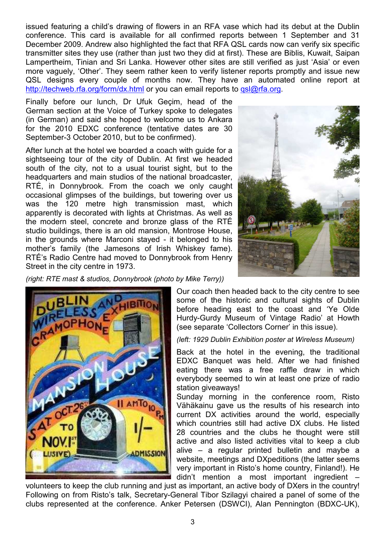issued featuring a child's drawing of flowers in an RFA vase which had its debut at the Dublin conference. This card is available for all confirmed reports between 1 September and 31 December 2009. Andrew also highlighted the fact that RFA QSL cards now can verify six specific transmitter sites they use (rather than just two they did at first). These are Biblis, Kuwait, Saipan Lampertheim, Tinian and Sri Lanka. However other sites are still verified as just 'Asia' or even more vaguely, 'Other'. They seem rather keen to verify listener reports promptly and issue new QSL designs every couple of months now. They have an automated online report at http://techweb.rfa.org/form/dx.html or you can email reports to gsl@rfa.org.

Finally before our lunch, Dr Ufuk Geçim, head of the German section at the Voice of Turkey spoke to delegates (in German) and said she hoped to welcome us to Ankara for the 2010 EDXC conference (tentative dates are 30 September-3 October 2010, but to be confirmed).

After lunch at the hotel we boarded a coach with guide for a sightseeing tour of the city of Dublin. At first we headed south of the city, not to a usual tourist sight, but to the headquarters and main studios of the national broadcaster, RTÉ, in Donnybrook. From the coach we only caught occasional glimpses of the buildings, but towering over us was the 120 metre high transmission mast, which apparently is decorated with lights at Christmas. As well as the modern steel, concrete and bronze glass of the RTÉ studio buildings, there is an old mansion, Montrose House, in the grounds where Marconi stayed - it belonged to his mother's family (the Jamesons of Irish Whiskey fame). RTÉ's Radio Centre had moved to Donnybrook from Henry Street in the city centre in 1973.



(right: RTE mast & studios, Donnybrook (photo by Mike Terry))



Our coach then headed back to the city centre to see some of the historic and cultural sights of Dublin before heading east to the coast and 'Ye Olde Hurdy-Gurdy Museum of Vintage Radio' at Howth (see separate 'Collectors Corner' in this issue).

(left: 1929 Dublin Exhibition poster at Wireless Museum)

Back at the hotel in the evening, the traditional EDXC Banquet was held. After we had finished eating there was a free raffle draw in which everybody seemed to win at least one prize of radio station giveaways!

Sunday morning in the conference room, Risto Vähäkainu gave us the results of his research into current DX activities around the world, especially which countries still had active DX clubs. He listed 28 countries and the clubs he thought were still active and also listed activities vital to keep a club alive – a regular printed bulletin and maybe a website, meetings and DXpeditions (the latter seems very important in Risto's home country, Finland!). He didn't mention a most important ingredient –

volunteers to keep the club running and just as important, an active body of DXers in the country! Following on from Risto's talk, Secretary-General Tibor Szilagyi chaired a panel of some of the clubs represented at the conference. Anker Petersen (DSWCI), Alan Pennington (BDXC-UK),